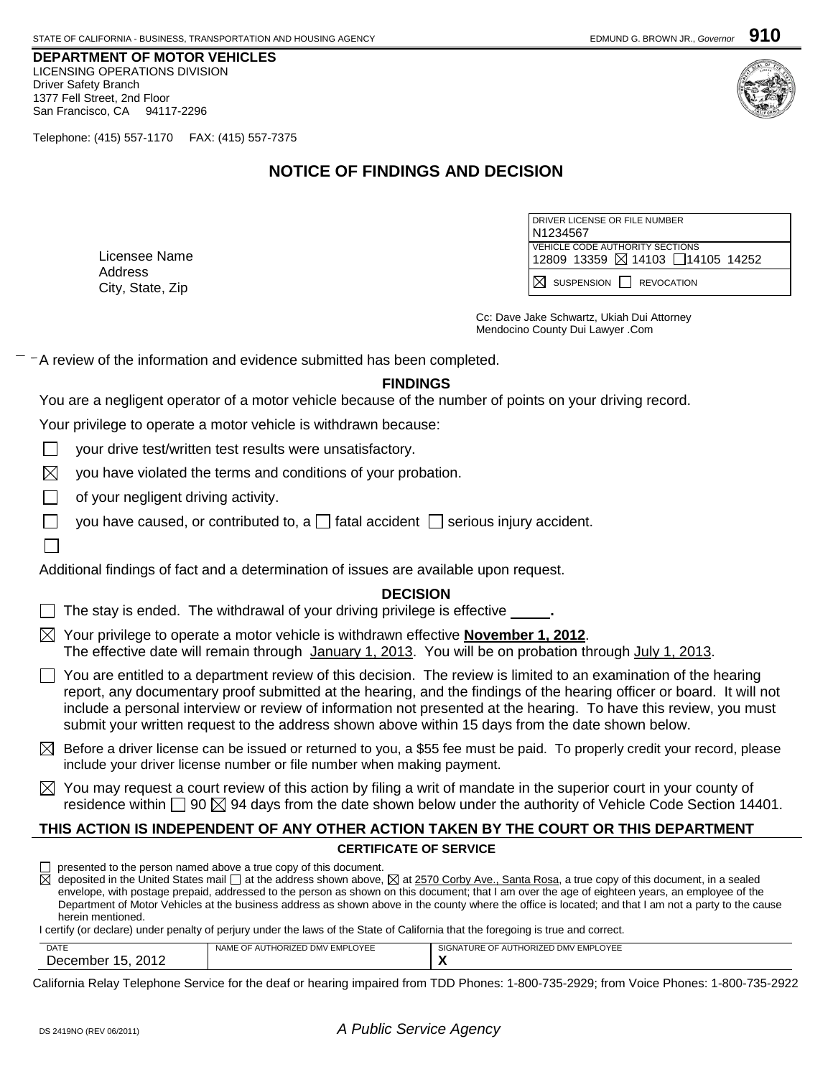**DEPARTMENT OF MOTOR VEHICLES** LICENSING OPERATIONS DIVISION Driver Safety Branch 1377 Fell Street, 2nd Floor San Francisco, CA 94117-2296

Telephone: (415) 557-1170 FAX: (415) 557-7375

# **NOTICE OF FINDINGS AND DECISION**

Licensee Name Address City, State, Zip

| DRIVER LICENSE OR FILE NUMBER<br>N <sub>1234567</sub>              |  |  |
|--------------------------------------------------------------------|--|--|
| VEHICLE CODE AUTHORITY SECTIONS<br>12809 13359 ⊠ 14103 14105 14252 |  |  |
| $IN$ suspension $I$ revocation                                     |  |  |

Cc: Dave Jake Schwartz, Ukiah Dui Attorney Mendocino County Dui Lawyer .Com

A review of the information and evidence submitted has been completed.

## **FINDINGS**

You are a negligent operator of a motor vehicle because of the number of points on your driving record.

Your privilege to operate a motor vehicle is withdrawn because:

your drive test/written test results were unsatisfactory.

 $\boxtimes$ you have violated the terms and conditions of your probation.

of your negligent driving activity.

you have caused, or contributed to, a  $\Box$  fatal accident  $\Box$  serious injury accident.

Additional findings of fact and a determination of issues are available upon request.

## **DECISION**

The stay is ended. The withdrawal of your driving privilege is effective \_\_\_\_\_\_\_

- Your privilege to operate a motor vehicle is withdrawn effective **November 1, 2012**. The effective date will remain through January 1, 2013. You will be on probation through July 1, 2013.
- $\Box$  You are entitled to a department review of this decision. The review is limited to an examination of the hearing report, any documentary proof submitted at the hearing, and the findings of the hearing officer or board. It will not include a personal interview or review of information not presented at the hearing. To have this review, you must submit your written request to the address shown above within 15 days from the date shown below.
- $\boxtimes$  Before a driver license can be issued or returned to you, a \$55 fee must be paid. To properly credit your record, please include your driver license number or file number when making payment.
- $\boxtimes$  You may request a court review of this action by filing a writ of mandate in the superior court in your county of residence within  $\Box$  90  $\boxtimes$  94 days from the date shown below under the authority of Vehicle Code Section 14401.

## **THIS ACTION IS INDEPENDENT OF ANY OTHER ACTION TAKEN BY THE COURT OR THIS DEPARTMENT**

#### **CERTIFICATE OF SERVICE**

 $\Box$  presented to the person named above a true copy of this document.

 $\overline{\boxtimes}$  deposited in the United States mail  $\Box$  at the address shown above,  $\boxtimes$  at 2570 Corby Ave., Santa Rosa, a true copy of this document, in a sealed envelope, with postage prepaid, addressed to the person as shown on this document; that I am over the age of eighteen years, an employee of the Department of Motor Vehicles at the business address as shown above in the county where the office is located; and that I am not a party to the cause herein mentioned.

I certify (or declare) under penalty of perjury under the laws of the State of California that the foregoing is true and correct.

| <b>DATE</b><br>DAIL    | THORIZED DMV EMPLOYEE<br>: OF AUT!<br><b>NAME</b> | SIGNATURE OF AUTHORIZED DMV EMPLOYEE |
|------------------------|---------------------------------------------------|--------------------------------------|
| 2012<br>ecember<br>AOP |                                                   |                                      |

California Relay Telephone Service for the deaf or hearing impaired from TDD Phones: 1-800-735-2929; from Voice Phones: 1-800-735-2922